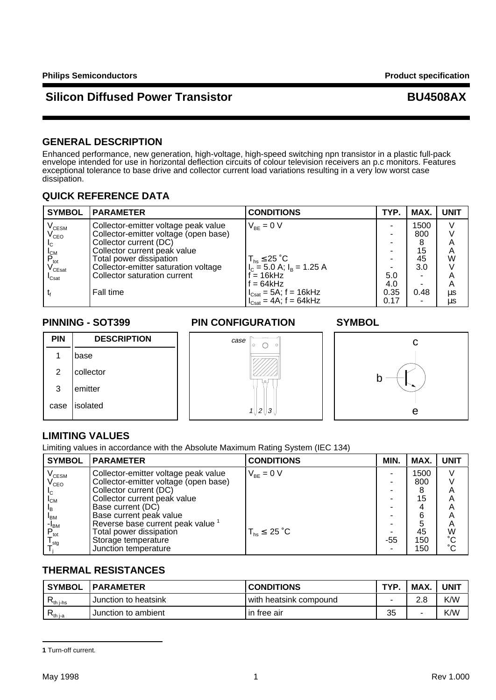# **Silicon Diffused Power Transistor Community Community BU4508AX**

### **GENERAL DESCRIPTION**

Enhanced performance, new generation, high-voltage, high-speed switching npn transistor in a plastic full-pack envelope intended for use in horizontal deflection circuits of colour television receivers an p.c monitors. Features exceptional tolerance to base drive and collector current load variations resulting in a very low worst case dissipation.

### **QUICK REFERENCE DATA**

| <b>SYMBOL</b>                               | <b>PARAMETER</b>                      | <b>CONDITIONS</b>                    | TYP. | MAX. | <b>UNIT</b> |
|---------------------------------------------|---------------------------------------|--------------------------------------|------|------|-------------|
| $\mathsf{V}_{\text{\tiny{CESM}}}$           | Collector-emitter voltage peak value  | $V_{BF} = 0 V$                       |      | 1500 | V           |
| $\mathsf{V}_{\mathsf{CEO}}$                 | Collector-emitter voltage (open base) |                                      |      | 800  |             |
| $I_{\rm C}$                                 | Collector current (DC)                |                                      |      | 8    | А           |
|                                             | Collector current peak value          |                                      |      | 15   | Α           |
| $P_{\rm tot}^{\rm I_{CM}}$ V $_{\rm CEsat}$ | Total power dissipation               | $T_{hs} \leq 25$ °C                  |      | 45   | W           |
|                                             | Collector-emitter saturation voltage  | $I_c = 5.0$ A; $I_B = 1.25$ A        |      | 3.0  |             |
| $\mathsf{I}_{\mathsf{Csat}}$                | Collector saturation current          | $f = 16kHz$                          | 5.0  |      | Α           |
|                                             |                                       | $f = 64kHz$                          | 4.0  | ۰    | A           |
|                                             | Fall time                             | $I_{\text{Csat}} = 5A$ , f = 16kHz   | 0.35 | 0.48 | μs          |
|                                             |                                       | $I_{\text{Cast}} = 4A$ ; $f = 64kHz$ | 0.17 | ۰    | μs          |

1 base

2 collector

3 emitter

case | isolated

**PIN DESCRIPTION**

### **PINNING - SOT399 PIN CONFIGURATION SYMBOL**

case



## **LIMITING VALUES**

Limiting values in accordance with the Absolute Maximum Rating System (IEC 134)

| <b>SYMBOL</b>                     | <b>PARAMETER</b>                      | <b>CONDITIONS</b>     | MIN. | MAX. | <b>UNIT</b>     |
|-----------------------------------|---------------------------------------|-----------------------|------|------|-----------------|
| $\mathsf{V}_{\text{\tiny{CESM}}}$ | Collector-emitter voltage peak value  | $V_{BF} = 0 V$        |      | 1500 |                 |
| $\rm V_{CEO}$                     | Collector-emitter voltage (open base) |                       |      | 800  |                 |
| IС.                               | Collector current (DC)                |                       |      |      | A               |
| $I_{CM}$                          | Collector current peak value          |                       |      | 15   | Α               |
| ΙB.                               | Base current (DC)                     |                       |      |      | A               |
| 'BM                               | Base current peak value               |                       |      | 6    | A               |
| -I <sub>BM</sub>                  | Reverse base current peak value       |                       |      | 5    | Α               |
| $P_{\text{tot}}$                  | Total power dissipation               | $T_{hs}$ $\leq$ 25 °C |      | 45   | W               |
| $\mathsf{I}_{\text{stg}}$         | Storage temperature                   |                       | -55  | 150  | $\rm ^{\circ}C$ |
|                                   | Junction temperature                  |                       |      | 150  | $\rm ^{\circ}C$ |

11213

 $\circ$ 

### **THERMAL RESISTANCES**

| <b>SYMBOL</b>                   | <b>PARAMETER</b>     | <b>CONDITIONS</b>        | <b>TYP</b> | MAX. | <b>UNIT</b> |
|---------------------------------|----------------------|--------------------------|------------|------|-------------|
| $\mathsf{r}_{\mathsf{th}}$ j-hs | Junction to heatsink | i with heatsink compound |            | າ ໑  | K/W         |
| $\mathsf{r}_{\mathsf{th}}$ j-a  | Junction to ambient  | in free air              | 35         | -    | K/W         |

**<sup>1</sup>** Turn-off current.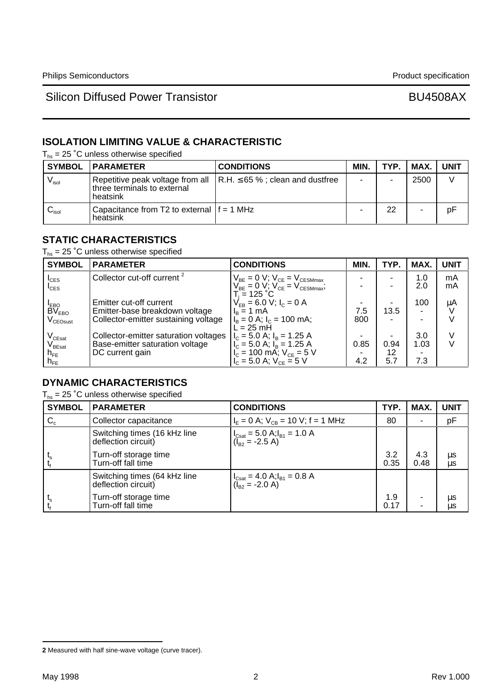# **ISOLATION LIMITING VALUE & CHARACTERISTIC**

 $T_{hs}$  = 25 °C unless otherwise specified

|                            | <b>SYMBOL   PARAMETER</b>                                | <b>CONDITIONS</b>                                                             | MIN. | TYP. | MAX. | <b>UNIT</b> |
|----------------------------|----------------------------------------------------------|-------------------------------------------------------------------------------|------|------|------|-------------|
| $V_{\sf isol}$             | three terminals to external<br>heatsink                  | Repetitive peak voltage from all $\vert$ R.H. $\leq$ 65 %; clean and dustfree |      |      | 2500 |             |
| $\mathsf{v}_\mathsf{isol}$ | Capacitance from T2 to external $ f = 1$ MHz<br>heatsink |                                                                               |      | 22   |      | pF          |

### **STATIC CHARACTERISTICS**

 $T_{hs}$  = 25 °C unless otherwise specified

| <b>SYMBOL</b>                            | <b>PARAMETER</b>                       | <b>CONDITIONS</b>                                                                                                                                           | MIN. | TYP. | MAX.                     | <b>UNIT</b> |
|------------------------------------------|----------------------------------------|-------------------------------------------------------------------------------------------------------------------------------------------------------------|------|------|--------------------------|-------------|
| $I_{CES}$                                | Collector cut-off current <sup>2</sup> | $\begin{array}{c} V_{\text{BE}}=0 \text{ V};\ V_{\text{CE}}=V_{\text{CESMmax}}\\ V_{\text{BE}}=0 \text{ V};\ V_{\text{CE}}=V_{\text{CESMmax}}; \end{array}$ |      |      | 1.0                      | mA          |
| $I_{\text{CES}}$                         |                                        |                                                                                                                                                             |      |      | 2.0                      | mA          |
|                                          | Emitter cut-off current                | T. = 125 °C.<br>$V_{FB} = 6.0 V; I_c = 0 A$                                                                                                                 |      |      | 100                      | μA          |
| I <sub>EBO</sub><br>BV <sub>EBO</sub>    | Emitter-base breakdown voltage         | $I_B = 1$ mA                                                                                                                                                | 7.5  | 13.5 | ٠.                       |             |
| $\rm V_{\rm CEOsust}$                    | Collector-emitter sustaining voltage   | $I_B = 0$ A; $I_C = 100$ mA;                                                                                                                                | 800  |      | $\overline{\phantom{0}}$ |             |
|                                          |                                        | $L = 25$ mH                                                                                                                                                 |      |      |                          |             |
| V <sub>CEsat</sub><br>V <sub>BEsat</sub> | Collector-emitter saturation voltages  | $I_c = 5.0$ A; $I_B = 1.25$ A                                                                                                                               |      |      | 3.0                      | V           |
|                                          | Base-emitter saturation voltage        | $I_c = 5.0$ A; $I_B = 1.25$ A                                                                                                                               | 0.85 | 0.94 | 1.03                     | $\vee$      |
| $h_{FE}$                                 | DC current gain                        | $I_c = 100$ mA; $V_{CE} = 5$ V                                                                                                                              |      | 12   |                          |             |
| $h_{FE}$                                 |                                        | $V_c = 5.0$ A; $V_{ce} = 5$ V                                                                                                                               | 4.2  | 5.7  | 7.3                      |             |

# **DYNAMIC CHARACTERISTICS**

 $T_{hs}$  = 25 °C unless otherwise specified

| <b>SYMBOL</b> | <b>PARAMETER</b>                                    | <b>CONDITIONS</b>                                                                                                                | TYP.        | MAX.        | <b>UNIT</b> |
|---------------|-----------------------------------------------------|----------------------------------------------------------------------------------------------------------------------------------|-------------|-------------|-------------|
| $C_c$         | Collector capacitance                               | $I_F = 0$ A; $V_{CB} = 10$ V; f = 1 MHz                                                                                          | 80          |             | pF          |
|               | Switching times (16 kHz line<br>deflection circuit) | $\begin{cases}\nI_{\text{Csat}} = 5.0 \text{ A}, I_{\text{B1}} = 1.0 \text{ A} \\ (I_{\text{B2}} = -2.5 \text{ A})\n\end{cases}$ |             |             |             |
|               | Turn-off storage time<br>Turn-off fall time         |                                                                                                                                  | 3.2<br>0.35 | 4.3<br>0.48 | μs<br>μs    |
|               | Switching times (64 kHz line<br>deflection circuit) | $\begin{cases} I_{\text{Csat}} = 4.0 \text{ A}; I_{\text{B1}} = 0.8 \text{ A} \\ (I_{\text{B2}} = -2.0 \text{ A}) \end{cases}$   |             |             |             |
|               | Turn-off storage time<br>Turn-off fall time         |                                                                                                                                  | 1.9<br>0.17 | ۰           | μs<br>μs    |

**<sup>2</sup>** Measured with half sine-wave voltage (curve tracer).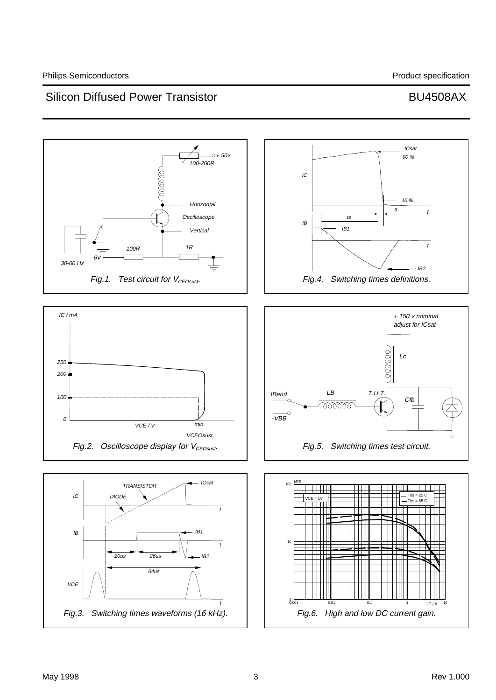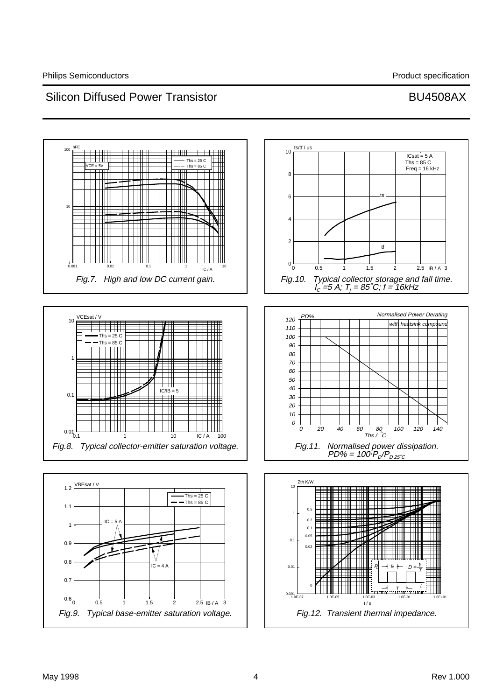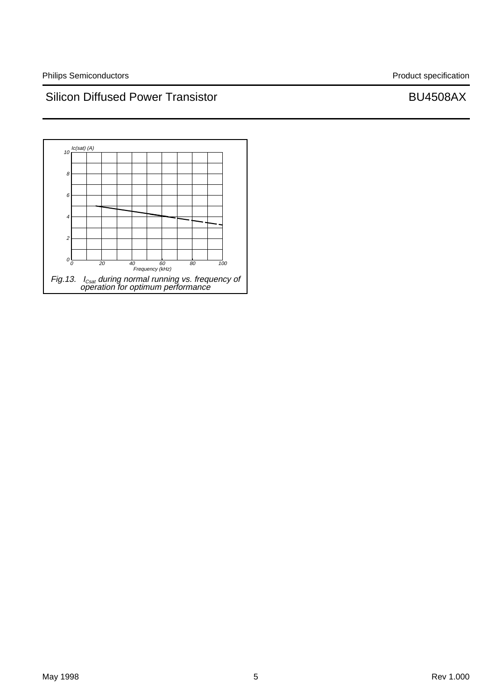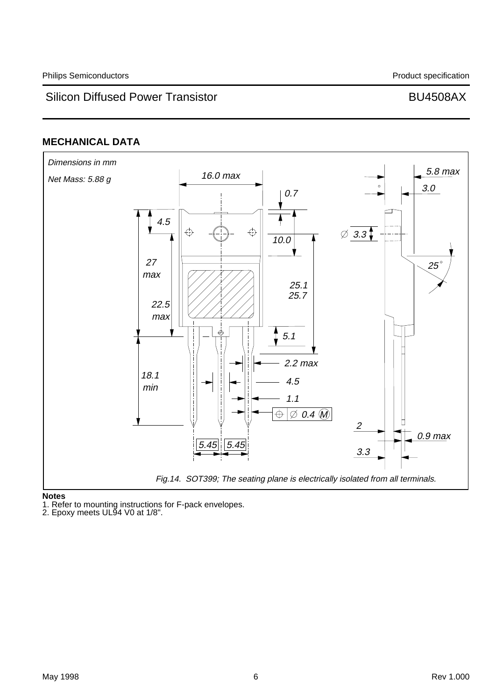### **MECHANICAL DATA**



**Notes**

1. Refer to mounting instructions for F-pack envelopes.

2. Epoxy meets UL94 V0 at 1/8".